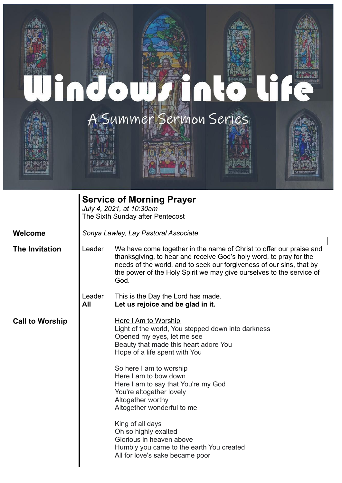# nto tire Whooly

# A Summer Sermon Series

|                        | <b>Service of Morning Prayer</b><br>July 4, 2021, at 10:30am<br>The Sixth Sunday after Pentecost |                                                                                                                                                                                                                                                                                                   |
|------------------------|--------------------------------------------------------------------------------------------------|---------------------------------------------------------------------------------------------------------------------------------------------------------------------------------------------------------------------------------------------------------------------------------------------------|
| Welcome                |                                                                                                  | Sonya Lawley, Lay Pastoral Associate                                                                                                                                                                                                                                                              |
| <b>The Invitation</b>  | Leader                                                                                           | We have come together in the name of Christ to offer our praise and<br>thanksgiving, to hear and receive God's holy word, to pray for the<br>needs of the world, and to seek our forgiveness of our sins, that by<br>the power of the Holy Spirit we may give ourselves to the service of<br>God. |
|                        | Leader<br>All                                                                                    | This is the Day the Lord has made.<br>Let us rejoice and be glad in it.                                                                                                                                                                                                                           |
| <b>Call to Worship</b> |                                                                                                  | Here I Am to Worship<br>Light of the world, You stepped down into darkness<br>Opened my eyes, let me see<br>Beauty that made this heart adore You<br>Hope of a life spent with You                                                                                                                |
|                        |                                                                                                  | So here I am to worship<br>Here I am to bow down<br>Here I am to say that You're my God<br>You're altogether lovely<br>Altogether worthy<br>Altogether wonderful to me                                                                                                                            |
|                        |                                                                                                  | King of all days<br>Oh so highly exalted<br>Glorious in heaven above<br>Humbly you came to the earth You created<br>All for love's sake became poor                                                                                                                                               |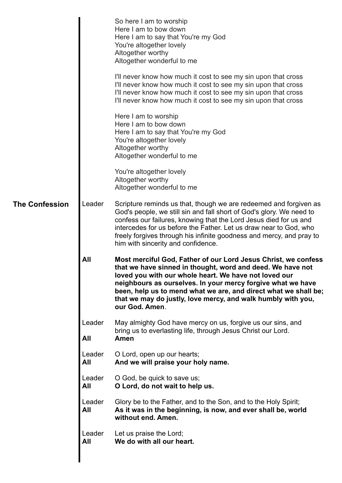|                       |               | So here I am to worship<br>Here I am to bow down<br>Here I am to say that You're my God<br>You're altogether lovely<br>Altogether worthy<br>Altogether wonderful to me                                                                                                                                                                                                                                    |
|-----------------------|---------------|-----------------------------------------------------------------------------------------------------------------------------------------------------------------------------------------------------------------------------------------------------------------------------------------------------------------------------------------------------------------------------------------------------------|
|                       |               | I'll never know how much it cost to see my sin upon that cross<br>I'll never know how much it cost to see my sin upon that cross<br>I'll never know how much it cost to see my sin upon that cross<br>I'll never know how much it cost to see my sin upon that cross                                                                                                                                      |
|                       |               | Here I am to worship<br>Here I am to bow down<br>Here I am to say that You're my God<br>You're altogether lovely<br>Altogether worthy<br>Altogether wonderful to me                                                                                                                                                                                                                                       |
|                       |               | You're altogether lovely<br>Altogether worthy<br>Altogether wonderful to me                                                                                                                                                                                                                                                                                                                               |
| <b>The Confession</b> | Leader        | Scripture reminds us that, though we are redeemed and forgiven as<br>God's people, we still sin and fall short of God's glory. We need to<br>confess our failures, knowing that the Lord Jesus died for us and<br>intercedes for us before the Father. Let us draw near to God, who<br>freely forgives through his infinite goodness and mercy, and pray to<br>him with sincerity and confidence.         |
|                       | All           | Most merciful God, Father of our Lord Jesus Christ, we confess<br>that we have sinned in thought, word and deed. We have not<br>loved you with our whole heart. We have not loved our<br>neighbours as ourselves. In your mercy forgive what we have<br>been, help us to mend what we are, and direct what we shall be;<br>that we may do justly, love mercy, and walk humbly with you,<br>our God. Amen. |
|                       | Leader<br>All | May almighty God have mercy on us, forgive us our sins, and<br>bring us to everlasting life, through Jesus Christ our Lord.<br>Amen                                                                                                                                                                                                                                                                       |
|                       | Leader<br>All | O Lord, open up our hearts;<br>And we will praise your holy name.                                                                                                                                                                                                                                                                                                                                         |
|                       | Leader<br>All | O God, be quick to save us;<br>O Lord, do not wait to help us.                                                                                                                                                                                                                                                                                                                                            |
|                       | Leader<br>All | Glory be to the Father, and to the Son, and to the Holy Spirit;<br>As it was in the beginning, is now, and ever shall be, world<br>without end. Amen.                                                                                                                                                                                                                                                     |
|                       | Leader<br>All | Let us praise the Lord;<br>We do with all our heart.                                                                                                                                                                                                                                                                                                                                                      |
|                       |               |                                                                                                                                                                                                                                                                                                                                                                                                           |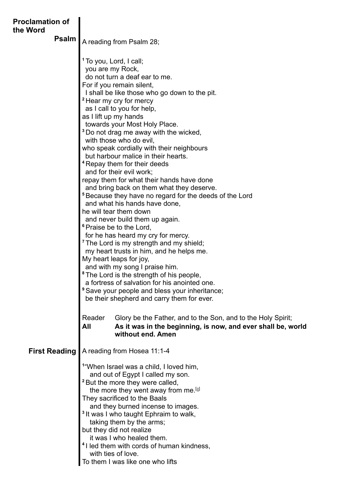| <b>Proclamation of</b><br>the Word |                                                                                                                                                                                                                                                                                                                                                                                                                                                                                                                                                                                                                                                                                                                                                                                                                                                                                                                                                                                                                                                                                                                                                                                                                                                                                                                                                                                                                                                    |  |  |
|------------------------------------|----------------------------------------------------------------------------------------------------------------------------------------------------------------------------------------------------------------------------------------------------------------------------------------------------------------------------------------------------------------------------------------------------------------------------------------------------------------------------------------------------------------------------------------------------------------------------------------------------------------------------------------------------------------------------------------------------------------------------------------------------------------------------------------------------------------------------------------------------------------------------------------------------------------------------------------------------------------------------------------------------------------------------------------------------------------------------------------------------------------------------------------------------------------------------------------------------------------------------------------------------------------------------------------------------------------------------------------------------------------------------------------------------------------------------------------------------|--|--|
| <b>Psalm</b>                       | A reading from Psalm 28;                                                                                                                                                                                                                                                                                                                                                                                                                                                                                                                                                                                                                                                                                                                                                                                                                                                                                                                                                                                                                                                                                                                                                                                                                                                                                                                                                                                                                           |  |  |
|                                    | <sup>1</sup> To you, Lord, I call;<br>you are my Rock,<br>do not turn a deaf ear to me.<br>For if you remain silent,<br>I shall be like those who go down to the pit.<br><sup>2</sup> Hear my cry for mercy<br>as I call to you for help,<br>as I lift up my hands<br>towards your Most Holy Place.<br><sup>3</sup> Do not drag me away with the wicked,<br>with those who do evil,<br>who speak cordially with their neighbours<br>but harbour malice in their hearts.<br><sup>4</sup> Repay them for their deeds<br>and for their evil work;<br>repay them for what their hands have done<br>and bring back on them what they deserve.<br><sup>5</sup> Because they have no regard for the deeds of the Lord<br>and what his hands have done,<br>he will tear them down<br>and never build them up again.<br><sup>6</sup> Praise be to the Lord,<br>for he has heard my cry for mercy.<br><sup>7</sup> The Lord is my strength and my shield;<br>my heart trusts in him, and he helps me.<br>My heart leaps for joy,<br>and with my song I praise him.<br><sup>8</sup> The Lord is the strength of his people,<br>a fortress of salvation for his anointed one.<br><sup>9</sup> Save your people and bless your inheritance;<br>be their shepherd and carry them for ever.<br>Reader<br>Glory be the Father, and to the Son, and to the Holy Spirit;<br>As it was in the beginning, is now, and ever shall be, world<br>All<br>without end. Amen |  |  |
| <b>First Reading</b>               | A reading from Hosea 11:1-4                                                                                                                                                                                                                                                                                                                                                                                                                                                                                                                                                                                                                                                                                                                                                                                                                                                                                                                                                                                                                                                                                                                                                                                                                                                                                                                                                                                                                        |  |  |
|                                    | <sup>1</sup> "When Israel was a child, I loved him,<br>and out of Egypt I called my son.<br><sup>2</sup> But the more they were called,<br>the more they went away from me. <sup>[a]</sup><br>They sacrificed to the Baals<br>and they burned incense to images.<br><sup>3</sup> It was I who taught Ephraim to walk,<br>taking them by the arms;<br>but they did not realize<br>it was I who healed them.<br><sup>4</sup> I led them with cords of human kindness,<br>with ties of love.<br>To them I was like one who lifts                                                                                                                                                                                                                                                                                                                                                                                                                                                                                                                                                                                                                                                                                                                                                                                                                                                                                                                      |  |  |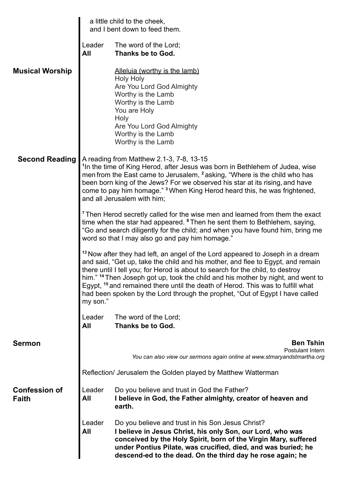|                                      | a little child to the cheek,<br>and I bent down to feed them. |                                                                                                                                                                                                                                                                                                                                                                                                                                                                                                                                             |
|--------------------------------------|---------------------------------------------------------------|---------------------------------------------------------------------------------------------------------------------------------------------------------------------------------------------------------------------------------------------------------------------------------------------------------------------------------------------------------------------------------------------------------------------------------------------------------------------------------------------------------------------------------------------|
|                                      | Leader<br>All                                                 | The word of the Lord;<br><b>Thanks be to God.</b>                                                                                                                                                                                                                                                                                                                                                                                                                                                                                           |
| <b>Musical Worship</b>               |                                                               | Alleluia (worthy is the lamb)<br><b>Holy Holy</b><br>Are You Lord God Almighty<br>Worthy is the Lamb<br>Worthy is the Lamb<br>You are Holy<br>Holy<br>Are You Lord God Almighty<br>Worthy is the Lamb<br>Worthy is the Lamb                                                                                                                                                                                                                                                                                                                 |
| <b>Second Reading</b>                |                                                               | A reading from Matthew 2.1-3, 7-8, 13-15<br><sup>1</sup> In the time of King Herod, after Jesus was born in Bethlehem of Judea, wise<br>men from the East came to Jerusalem, <sup>2</sup> asking, "Where is the child who has<br>been born king of the Jews? For we observed his star at its rising, and have<br>come to pay him homage." <sup>3</sup> When King Herod heard this, he was frightened,<br>and all Jerusalem with him;                                                                                                        |
|                                      |                                                               | <sup>7</sup> Then Herod secretly called for the wise men and learned from them the exact<br>time when the star had appeared. $8$ Then he sent them to Bethlehem, saying,<br>"Go and search diligently for the child; and when you have found him, bring me<br>word so that I may also go and pay him homage."                                                                                                                                                                                                                               |
|                                      | my son."                                                      | <sup>13</sup> Now after they had left, an angel of the Lord appeared to Joseph in a dream<br>and said, "Get up, take the child and his mother, and flee to Egypt, and remain<br>there until I tell you; for Herod is about to search for the child, to destroy<br>him." <sup>14</sup> Then Joseph got up, took the child and his mother by night, and went to<br>Egypt, <sup>15</sup> and remained there until the death of Herod. This was to fulfill what<br>had been spoken by the Lord through the prophet, "Out of Egypt I have called |
|                                      | Leader<br>All                                                 | The word of the Lord;<br><b>Thanks be to God.</b>                                                                                                                                                                                                                                                                                                                                                                                                                                                                                           |
| <b>Sermon</b>                        |                                                               | <b>Ben Tshin</b><br>Postulant Intern<br>You can also view our sermons again online at www.stmaryandstmartha.org                                                                                                                                                                                                                                                                                                                                                                                                                             |
|                                      |                                                               | Reflection/ Jerusalem the Golden played by Matthew Watterman                                                                                                                                                                                                                                                                                                                                                                                                                                                                                |
| <b>Confession of</b><br><b>Faith</b> | Leader<br>All                                                 | Do you believe and trust in God the Father?<br>I believe in God, the Father almighty, creator of heaven and<br>earth.                                                                                                                                                                                                                                                                                                                                                                                                                       |
|                                      | Leader<br>All                                                 | Do you believe and trust in his Son Jesus Christ?<br>I believe in Jesus Christ, his only Son, our Lord, who was<br>conceived by the Holy Spirit, born of the Virgin Mary, suffered<br>under Pontius Pilate, was crucified, died, and was buried; he<br>descend-ed to the dead. On the third day he rose again; he                                                                                                                                                                                                                           |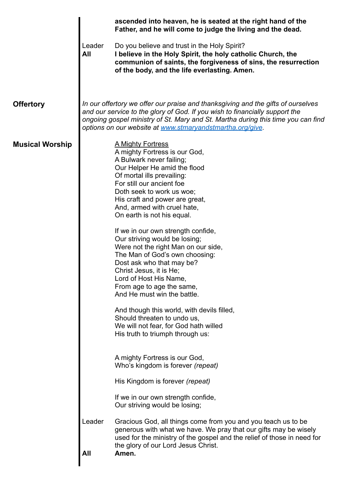| Do you believe and trust in the Holy Spirit?<br>Leader<br>I believe in the Holy Spirit, the holy catholic Church, the<br>All<br>communion of saints, the forgiveness of sins, the resurrection<br>of the body, and the life everlasting. Amen.<br>In our offertory we offer our praise and thanksgiving and the gifts of ourselves<br><b>Offertory</b><br>and our service to the glory of God. If you wish to financially support the<br>ongoing gospel ministry of St. Mary and St. Martha during this time you can find<br>options on our website at www.stmaryandstmartha.org/give.<br><b>Musical Worship</b><br><b>A Mighty Fortress</b><br>A mighty Fortress is our God,<br>A Bulwark never failing;<br>Our Helper He amid the flood<br>Of mortal ills prevailing:<br>For still our ancient foe<br>Doth seek to work us woe;<br>His craft and power are great,<br>And, armed with cruel hate,<br>On earth is not his equal.<br>If we in our own strength confide,<br>Our striving would be losing;<br>Were not the right Man on our side,<br>The Man of God's own choosing:<br>Dost ask who that may be?<br>Christ Jesus, it is He;<br>Lord of Host His Name,<br>From age to age the same,<br>And He must win the battle.<br>And though this world, with devils filled,<br>Should threaten to undo us,<br>We will not fear, for God hath willed<br>His truth to triumph through us:<br>A mighty Fortress is our God,<br>Who's kingdom is forever (repeat)<br>His Kingdom is forever (repeat)<br>If we in our own strength confide,<br>Our striving would be losing;<br>Gracious God, all things come from you and you teach us to be<br>Leader<br>generous with what we have. We pray that our gifts may be wisely<br>the glory of our Lord Jesus Christ.<br>All<br>Amen. |  | ascended into heaven, he is seated at the right hand of the<br>Father, and he will come to judge the living and the dead. |
|--------------------------------------------------------------------------------------------------------------------------------------------------------------------------------------------------------------------------------------------------------------------------------------------------------------------------------------------------------------------------------------------------------------------------------------------------------------------------------------------------------------------------------------------------------------------------------------------------------------------------------------------------------------------------------------------------------------------------------------------------------------------------------------------------------------------------------------------------------------------------------------------------------------------------------------------------------------------------------------------------------------------------------------------------------------------------------------------------------------------------------------------------------------------------------------------------------------------------------------------------------------------------------------------------------------------------------------------------------------------------------------------------------------------------------------------------------------------------------------------------------------------------------------------------------------------------------------------------------------------------------------------------------------------------------------------------------------------------------------------------------------------------------|--|---------------------------------------------------------------------------------------------------------------------------|
|                                                                                                                                                                                                                                                                                                                                                                                                                                                                                                                                                                                                                                                                                                                                                                                                                                                                                                                                                                                                                                                                                                                                                                                                                                                                                                                                                                                                                                                                                                                                                                                                                                                                                                                                                                                |  |                                                                                                                           |
|                                                                                                                                                                                                                                                                                                                                                                                                                                                                                                                                                                                                                                                                                                                                                                                                                                                                                                                                                                                                                                                                                                                                                                                                                                                                                                                                                                                                                                                                                                                                                                                                                                                                                                                                                                                |  |                                                                                                                           |
|                                                                                                                                                                                                                                                                                                                                                                                                                                                                                                                                                                                                                                                                                                                                                                                                                                                                                                                                                                                                                                                                                                                                                                                                                                                                                                                                                                                                                                                                                                                                                                                                                                                                                                                                                                                |  |                                                                                                                           |
|                                                                                                                                                                                                                                                                                                                                                                                                                                                                                                                                                                                                                                                                                                                                                                                                                                                                                                                                                                                                                                                                                                                                                                                                                                                                                                                                                                                                                                                                                                                                                                                                                                                                                                                                                                                |  | used for the ministry of the gospel and the relief of those in need for                                                   |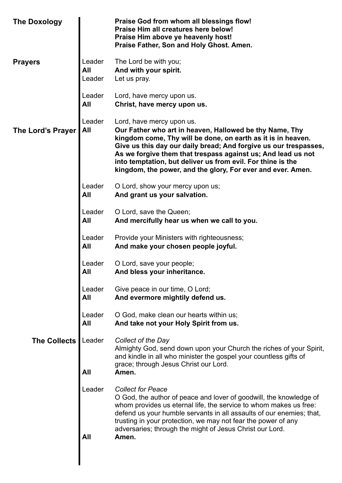| <b>The Doxology</b> |                         | Praise God from whom all blessings flow!<br>Praise Him all creatures here below!<br>Praise Him above ye heavenly host!<br>Praise Father, Son and Holy Ghost. Amen.                                                                                                                                                                                                                                                     |
|---------------------|-------------------------|------------------------------------------------------------------------------------------------------------------------------------------------------------------------------------------------------------------------------------------------------------------------------------------------------------------------------------------------------------------------------------------------------------------------|
| <b>Prayers</b>      | Leader<br>All<br>Leader | The Lord be with you;<br>And with your spirit.<br>Let us pray.                                                                                                                                                                                                                                                                                                                                                         |
|                     | Leader<br>All           | Lord, have mercy upon us.<br>Christ, have mercy upon us.                                                                                                                                                                                                                                                                                                                                                               |
| The Lord's Prayer   | Leader<br>All           | Lord, have mercy upon us.<br>Our Father who art in heaven, Hallowed be thy Name, Thy<br>kingdom come, Thy will be done, on earth as it is in heaven.<br>Give us this day our daily bread; And forgive us our trespasses,<br>As we forgive them that trespass against us; And lead us not<br>into temptation, but deliver us from evil. For thine is the<br>kingdom, the power, and the glory, For ever and ever. Amen. |
|                     | Leader<br>All           | O Lord, show your mercy upon us;<br>And grant us your salvation.                                                                                                                                                                                                                                                                                                                                                       |
|                     | Leader<br>All           | O Lord, save the Queen;<br>And mercifully hear us when we call to you.                                                                                                                                                                                                                                                                                                                                                 |
|                     | Leader<br>All           | Provide your Ministers with righteousness;<br>And make your chosen people joyful.                                                                                                                                                                                                                                                                                                                                      |
|                     | Leader<br>All           | O Lord, save your people;<br>And bless your inheritance.                                                                                                                                                                                                                                                                                                                                                               |
|                     | Leader<br>All           | Give peace in our time, O Lord;<br>And evermore mightily defend us.                                                                                                                                                                                                                                                                                                                                                    |
|                     | Leader<br>All           | O God, make clean our hearts within us;<br>And take not your Holy Spirit from us.                                                                                                                                                                                                                                                                                                                                      |
| <b>The Collects</b> | Leader<br>All           | Collect of the Day<br>Almighty God, send down upon your Church the riches of your Spirit,<br>and kindle in all who minister the gospel your countless gifts of<br>grace; through Jesus Christ our Lord.<br>Amen.                                                                                                                                                                                                       |
|                     | Leader<br>All           | <b>Collect for Peace</b><br>O God, the author of peace and lover of goodwill, the knowledge of<br>whom provides us eternal life, the service to whom makes us free:<br>defend us your humble servants in all assaults of our enemies; that,<br>trusting in your protection, we may not fear the power of any<br>adversaries; through the might of Jesus Christ our Lord.<br>Amen.                                      |
|                     |                         |                                                                                                                                                                                                                                                                                                                                                                                                                        |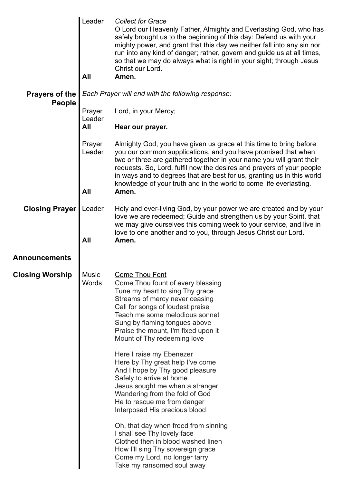|                        | Leader<br>All         | <b>Collect for Grace</b><br>O Lord our Heavenly Father, Almighty and Everlasting God, who has<br>safely brought us to the beginning of this day: Defend us with your<br>mighty power, and grant that this day we neither fall into any sin nor<br>run into any kind of danger; rather, govern and guide us at all times,<br>so that we may do always what is right in your sight; through Jesus<br>Christ our Lord.<br>Amen.                                                                                                                                                                                                                                                                                                                                                                      |
|------------------------|-----------------------|---------------------------------------------------------------------------------------------------------------------------------------------------------------------------------------------------------------------------------------------------------------------------------------------------------------------------------------------------------------------------------------------------------------------------------------------------------------------------------------------------------------------------------------------------------------------------------------------------------------------------------------------------------------------------------------------------------------------------------------------------------------------------------------------------|
| <b>Prayers of the</b>  |                       | Each Prayer will end with the following response:                                                                                                                                                                                                                                                                                                                                                                                                                                                                                                                                                                                                                                                                                                                                                 |
| <b>People</b>          | Prayer<br>Leader      | Lord, in your Mercy;                                                                                                                                                                                                                                                                                                                                                                                                                                                                                                                                                                                                                                                                                                                                                                              |
|                        | All                   | Hear our prayer.                                                                                                                                                                                                                                                                                                                                                                                                                                                                                                                                                                                                                                                                                                                                                                                  |
|                        | Prayer<br>Leader      | Almighty God, you have given us grace at this time to bring before<br>you our common supplications, and you have promised that when<br>two or three are gathered together in your name you will grant their<br>requests. So, Lord, fulfil now the desires and prayers of your people<br>in ways and to degrees that are best for us, granting us in this world<br>knowledge of your truth and in the world to come life everlasting.                                                                                                                                                                                                                                                                                                                                                              |
|                        | All                   | Amen.                                                                                                                                                                                                                                                                                                                                                                                                                                                                                                                                                                                                                                                                                                                                                                                             |
| <b>Closing Prayer</b>  | Leader<br>All         | Holy and ever-living God, by your power we are created and by your<br>love we are redeemed; Guide and strengthen us by your Spirit, that<br>we may give ourselves this coming week to your service, and live in<br>love to one another and to you, through Jesus Christ our Lord.<br>Amen.                                                                                                                                                                                                                                                                                                                                                                                                                                                                                                        |
| Announcements          |                       |                                                                                                                                                                                                                                                                                                                                                                                                                                                                                                                                                                                                                                                                                                                                                                                                   |
| <b>Closing Worship</b> | <b>Music</b><br>Words | <b>Come Thou Font</b><br>Come Thou fount of every blessing<br>Tune my heart to sing Thy grace<br>Streams of mercy never ceasing<br>Call for songs of loudest praise<br>Teach me some melodious sonnet<br>Sung by flaming tongues above<br>Praise the mount, I'm fixed upon it<br>Mount of Thy redeeming love<br>Here I raise my Ebenezer<br>Here by Thy great help I've come<br>And I hope by Thy good pleasure<br>Safely to arrive at home<br>Jesus sought me when a stranger<br>Wandering from the fold of God<br>He to rescue me from danger<br>Interposed His precious blood<br>Oh, that day when freed from sinning<br>I shall see Thy lovely face<br>Clothed then in blood washed linen<br>How I'll sing Thy sovereign grace<br>Come my Lord, no longer tarry<br>Take my ransomed soul away |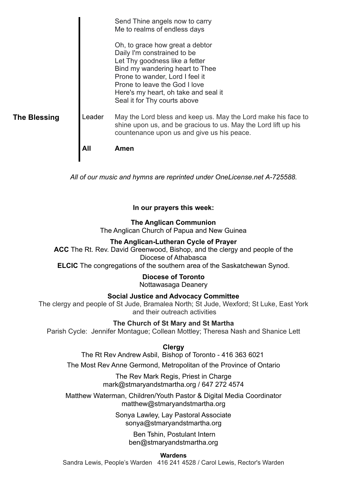|                     |        | Send Thine angels now to carry<br>Me to realms of endless days                                                                                                                                                                                                                  |
|---------------------|--------|---------------------------------------------------------------------------------------------------------------------------------------------------------------------------------------------------------------------------------------------------------------------------------|
|                     |        | Oh, to grace how great a debtor<br>Daily I'm constrained to be<br>Let Thy goodness like a fetter<br>Bind my wandering heart to Thee<br>Prone to wander, Lord I feel it<br>Prone to leave the God I love<br>Here's my heart, oh take and seal it<br>Seal it for Thy courts above |
| <b>The Blessing</b> | Leader | May the Lord bless and keep us. May the Lord make his face to<br>shine upon us, and be gracious to us. May the Lord lift up his<br>countenance upon us and give us his peace.                                                                                                   |
|                     | All    | Amen                                                                                                                                                                                                                                                                            |

*All of our music and hymns are reprinted under OneLicense.net A-725588.*

## **In our prayers this week:**

**The Anglican Communion** The Anglican Church of Papua and New Guinea

#### **The Anglican-Lutheran Cycle of Prayer**

**ACC** The Rt. Rev. David Greenwood, Bishop, and the clergy and people of the Diocese of Athabasca

**ELCIC** The congregations of the southern area of the Saskatchewan Synod.

# **Diocese of Toronto**

Nottawasaga Deanery

## **Social Justice and Advocacy Committee**

The clergy and people of St Jude, Bramalea North; St Jude, Wexford; St Luke, East York and their outreach activities

## **The Church of St Mary and St Martha**

Parish Cycle: Jennifer Montague; Collean Mottley; Theresa Nash and Shanice Lett

#### **Clergy**

The Rt Rev Andrew Asbil, Bishop of Toronto - 416 363 6021

The Most Rev Anne Germond, Metropolitan of the Province of Ontario

The Rev Mark Regis, Priest in Charge mark@stmaryandstmartha.org / 647 272 4574

Matthew Waterman, Children/Youth Pastor & Digital Media Coordinator matthew@stmaryandstmartha.org

> Sonya Lawley, Lay Pastoral Associate sonya@stmaryandstmartha.org

> > Ben Tshin, Postulant Intern ben@stmaryandstmartha.org

#### **Wardens**

Sandra Lewis, People's Warden 416 241 4528 / Carol Lewis, Rector's Warden